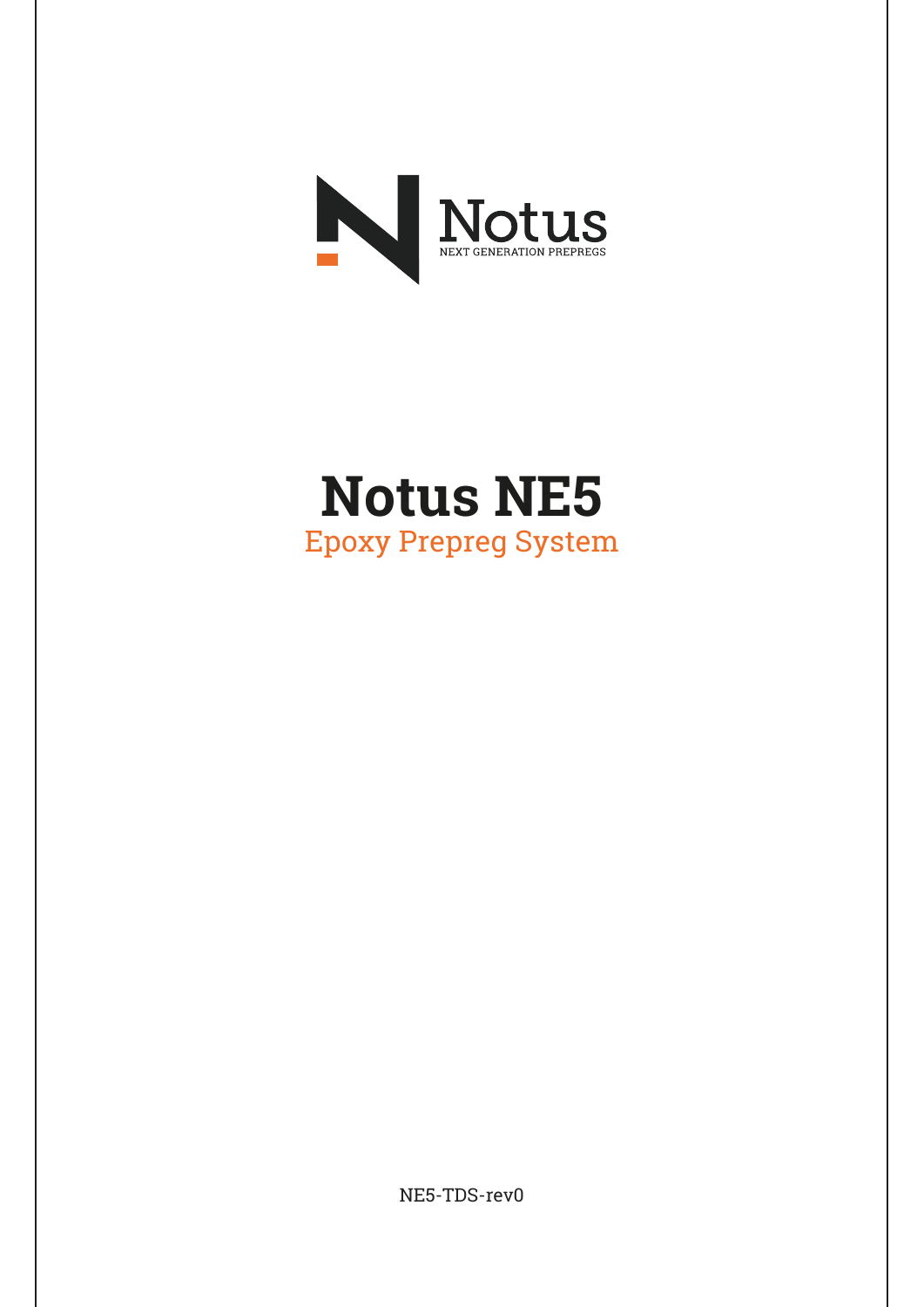

# **Notus NE5** Epoxy Prepreg System

NE5-TDS-rev0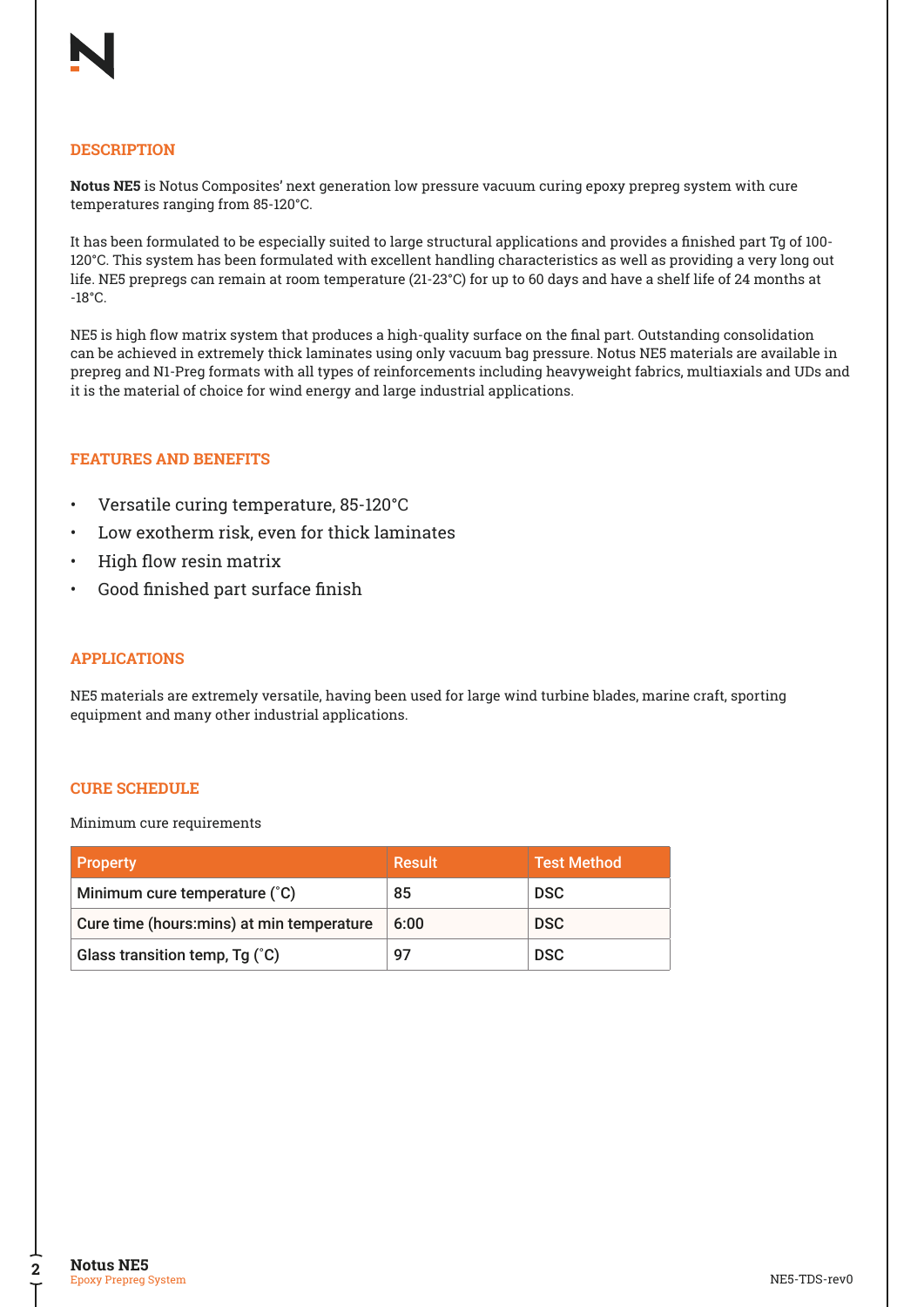## **DESCRIPTION**

**Notus NE5** is Notus Composites' next generation low pressure vacuum curing epoxy prepreg system with cure temperatures ranging from 85-120°C.

It has been formulated to be especially suited to large structural applications and provides a finished part Tg of 100- 120°C. This system has been formulated with excellent handling characteristics as well as providing a very long out life. NE5 prepregs can remain at room temperature (21-23°C) for up to 60 days and have a shelf life of 24 months at -18°C.

NE5 is high flow matrix system that produces a high-quality surface on the final part. Outstanding consolidation can be achieved in extremely thick laminates using only vacuum bag pressure. Notus NE5 materials are available in prepreg and N1-Preg formats with all types of reinforcements including heavyweight fabrics, multiaxials and UDs and it is the material of choice for wind energy and large industrial applications.

## **FEATURES AND BENEFITS**

- Versatile curing temperature, 85-120°C
- Low exotherm risk, even for thick laminates
- High flow resin matrix
- Good finished part surface finish

## **APPLICATIONS**

NE5 materials are extremely versatile, having been used for large wind turbine blades, marine craft, sporting equipment and many other industrial applications.

## **CURE SCHEDULE**

Minimum cure requirements

| <b>Property</b>                            | Result | <b>Test Method</b> |
|--------------------------------------------|--------|--------------------|
| Minimum cure temperature (°C)              | 85     | <b>DSC</b>         |
| Cure time (hours: mins) at min temperature | 6:00   | <b>DSC</b>         |
| Glass transition temp, Tg (°C)             | 97     | <b>DSC</b>         |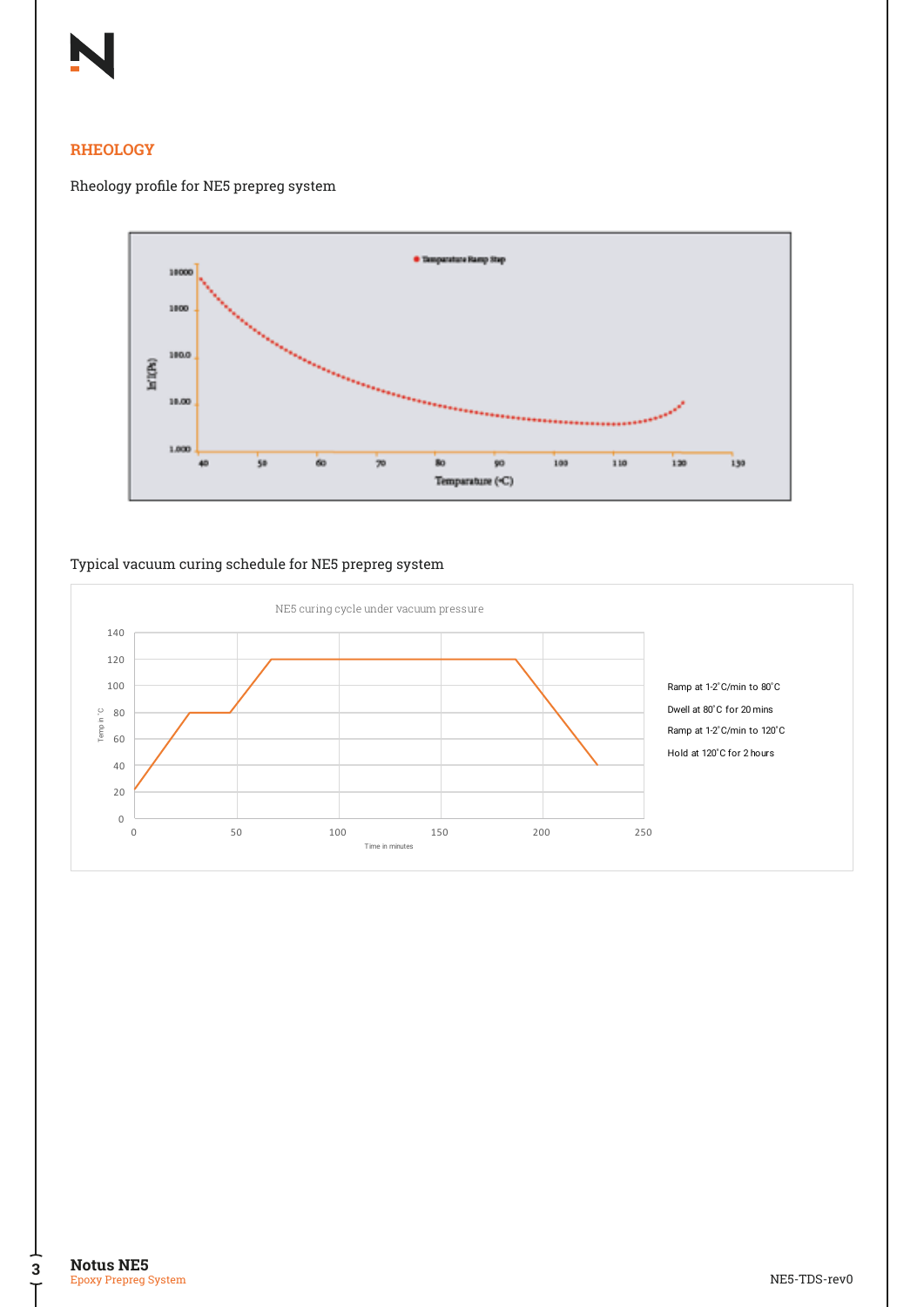## **RHEOLOGY**

## Rheology profile for NE5 prepreg system



## Typical vacuum curing schedule for NE5 prepreg system



Time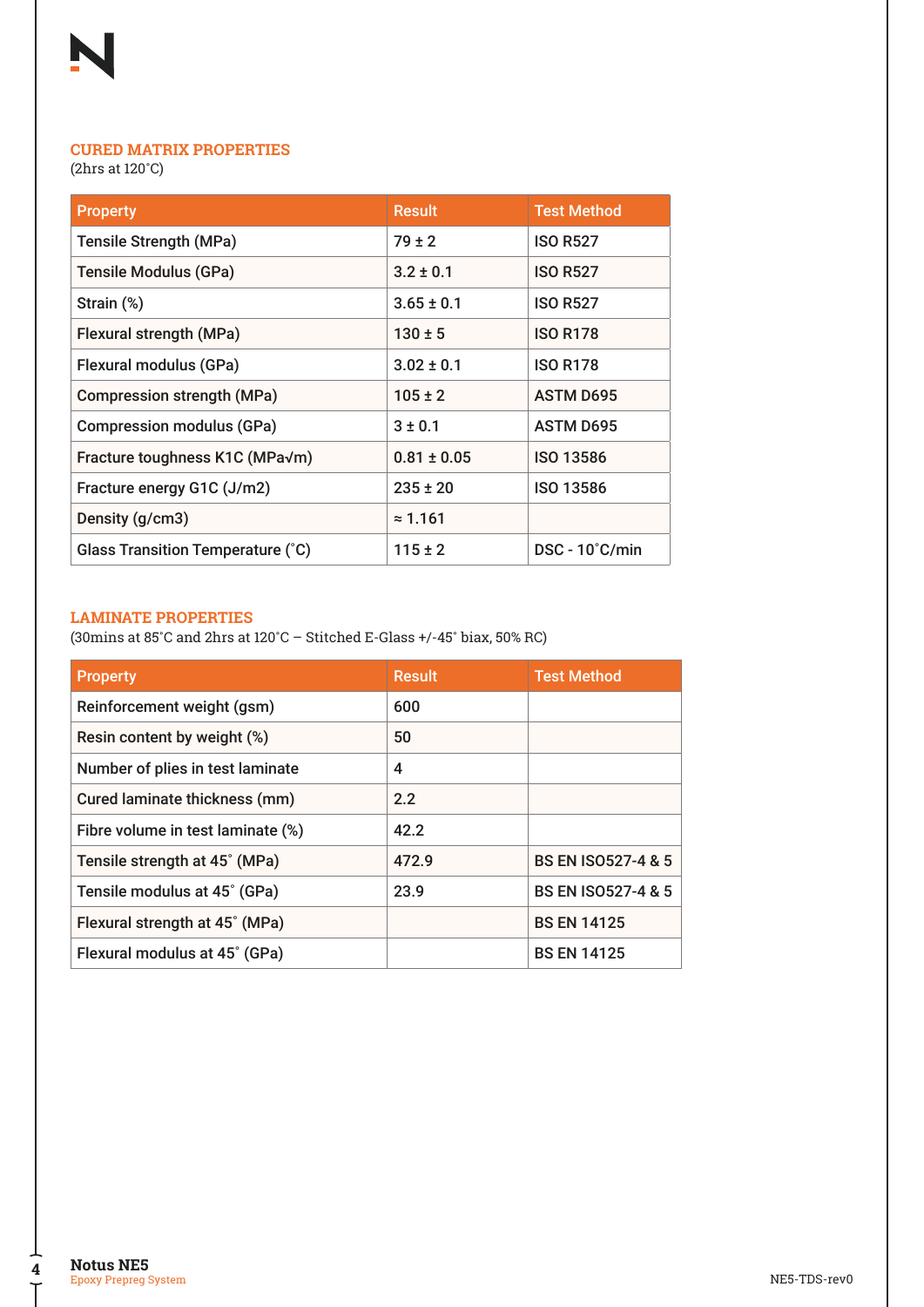

# **CURED MATRIX PROPERTIES**

(2hrs at 120˚C)

| <b>Property</b>                   | <b>Result</b>   | <b>Test Method</b>      |
|-----------------------------------|-----------------|-------------------------|
| <b>Tensile Strength (MPa)</b>     | $79 \pm 2$      | <b>ISO R527</b>         |
| <b>Tensile Modulus (GPa)</b>      | $3.2 \pm 0.1$   | <b>ISO R527</b>         |
| Strain (%)                        | $3.65 \pm 0.1$  | <b>ISO R527</b>         |
| Flexural strength (MPa)           | $130 \pm 5$     | <b>ISO R178</b>         |
| Flexural modulus (GPa)            | $3.02 \pm 0.1$  | <b>ISO R178</b>         |
| <b>Compression strength (MPa)</b> | $105 \pm 2$     | <b>ASTM D695</b>        |
| <b>Compression modulus (GPa)</b>  | $3 \pm 0.1$     | <b>ASTM D695</b>        |
| Fracture toughness K1C (MPa√m)    | $0.81 \pm 0.05$ | <b>ISO 13586</b>        |
| Fracture energy G1C (J/m2)        | $235 \pm 20$    | <b>ISO 13586</b>        |
| Density (g/cm3)                   | $\approx$ 1.161 |                         |
| Glass Transition Temperature (°C) | $115 \pm 2$     | $DSC - 10^{\circ}C/min$ |

## **LAMINATE PROPERTIES**

(30mins at 85˚C and 2hrs at 120˚C – Stitched E-Glass +/-45˚ biax, 50% RC)

| <b>Property</b>                   | <b>Result</b> | <b>Test Method</b>            |
|-----------------------------------|---------------|-------------------------------|
| Reinforcement weight (gsm)        | 600           |                               |
| Resin content by weight (%)       | 50            |                               |
| Number of plies in test laminate  | 4             |                               |
| Cured laminate thickness (mm)     | 2.2           |                               |
| Fibre volume in test laminate (%) | 42.2          |                               |
| Tensile strength at 45° (MPa)     | 472.9         | <b>BS EN ISO527-4 &amp; 5</b> |
| Tensile modulus at 45° (GPa)      | 23.9          | <b>BS EN ISO527-4 &amp; 5</b> |
| Flexural strength at 45° (MPa)    |               | <b>BS EN 14125</b>            |
| Flexural modulus at 45° (GPa)     |               | <b>BS EN 14125</b>            |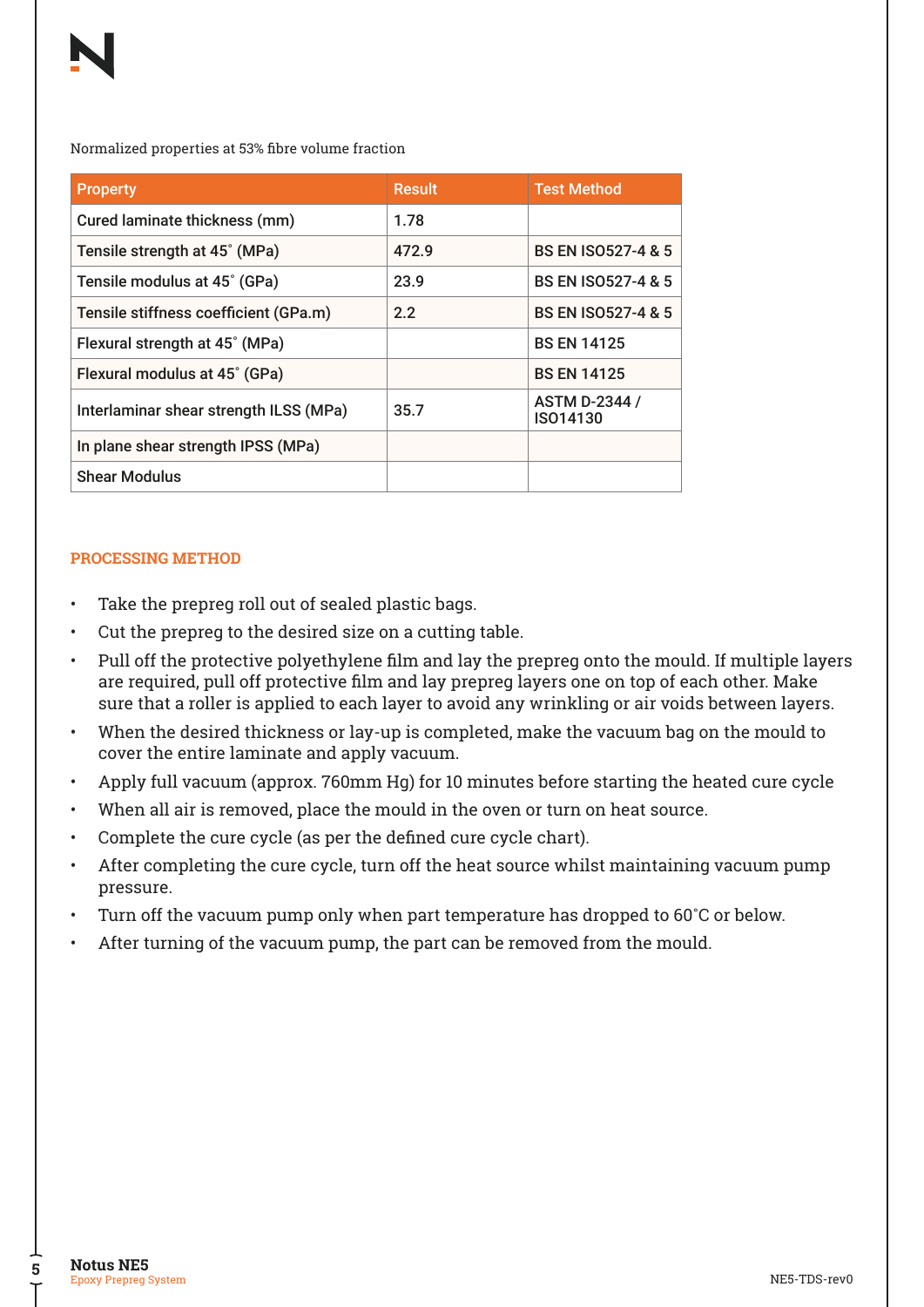Normalized properties at 53% fibre volume fraction

| <b>Property</b>                        | <b>Result</b> | <b>Test Method</b>               |
|----------------------------------------|---------------|----------------------------------|
| Cured laminate thickness (mm)          | 1.78          |                                  |
| Tensile strength at 45° (MPa)          | 472.9         | <b>BS EN ISO527-4 &amp; 5</b>    |
| Tensile modulus at 45° (GPa)           | 23.9          | <b>BS EN ISO527-4 &amp; 5</b>    |
| Tensile stiffness coefficient (GPa.m)  | 2.2           | <b>BS EN ISO527-4 &amp; 5</b>    |
| Flexural strength at 45° (MPa)         |               | <b>BS EN 14125</b>               |
| Flexural modulus at 45° (GPa)          |               | <b>BS EN 14125</b>               |
| Interlaminar shear strength ILSS (MPa) | 35.7          | <b>ASTM D-2344 /</b><br>ISO14130 |
| In plane shear strength IPSS (MPa)     |               |                                  |
| <b>Shear Modulus</b>                   |               |                                  |

# **PROCESSING METHOD**

- Take the prepreg roll out of sealed plastic bags.
- Cut the prepreg to the desired size on a cutting table.
- Pull off the protective polyethylene film and lay the prepreg onto the mould. If multiple layers are required, pull off protective film and lay prepreg layers one on top of each other. Make sure that a roller is applied to each layer to avoid any wrinkling or air voids between layers.
- When the desired thickness or lay-up is completed, make the vacuum bag on the mould to cover the entire laminate and apply vacuum.
- Apply full vacuum (approx. 760mm Hg) for 10 minutes before starting the heated cure cycle
- When all air is removed, place the mould in the oven or turn on heat source.
- Complete the cure cycle (as per the defined cure cycle chart).
- After completing the cure cycle, turn off the heat source whilst maintaining vacuum pump pressure.
- Turn off the vacuum pump only when part temperature has dropped to 60°C or below.
- After turning of the vacuum pump, the part can be removed from the mould.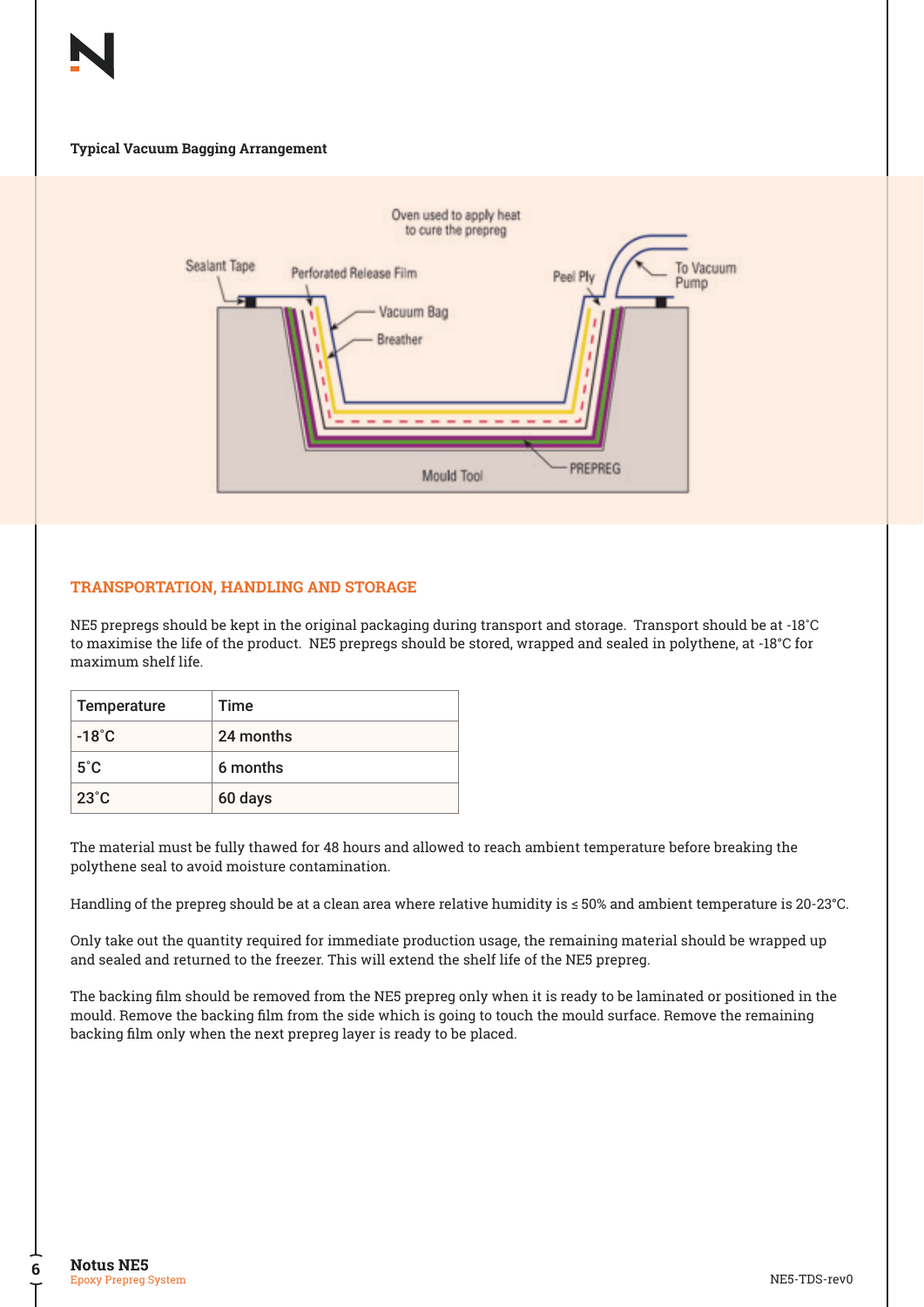#### **Typical Vacuum Bagging Arrangement**



## **TRANSPORTATION, HANDLING AND STORAGE**

NE5 prepregs should be kept in the original packaging during transport and storage. Transport should be at -18˚C to maximise the life of the product. NE5 prepregs should be stored, wrapped and sealed in polythene, at -18°C for maximum shelf life.

| Temperature     | Time      |
|-----------------|-----------|
| $-18^{\circ}$ C | 24 months |
| $5^{\circ}$ C   | 6 months  |
| $23^{\circ}$ C  | 60 days   |

The material must be fully thawed for 48 hours and allowed to reach ambient temperature before breaking the polythene seal to avoid moisture contamination.

Handling of the prepreg should be at a clean area where relative humidity is ≤ 50% and ambient temperature is 20-23°C.

Only take out the quantity required for immediate production usage, the remaining material should be wrapped up and sealed and returned to the freezer. This will extend the shelf life of the NE5 prepreg.

The backing film should be removed from the NE5 prepreg only when it is ready to be laminated or positioned in the mould. Remove the backing film from the side which is going to touch the mould surface. Remove the remaining backing film only when the next prepreg layer is ready to be placed.